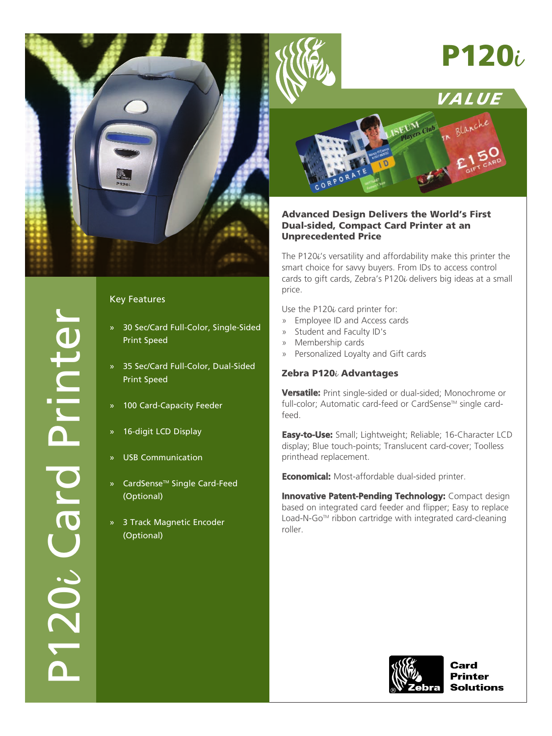

# **P120**i





# **Advanced Design Delivers the World's First Dual-sided, Compact Card Printer at an Unprecedented Price**

The P120 $i$ 's versatility and affordability make this printer the smart choice for savvy buyers. From IDs to access control cards to gift cards, Zebra's P120i delivers big ideas at a small price.

Use the P120 $\iota$  card printer for:

- » Employee ID and Access cards
- » Student and Faculty ID's
- » Membership cards
- » Personalized Loyalty and Gift cards

# **Zebra P120**i **Advantages**

**Versatile:** Print single-sided or dual-sided; Monochrome or full-color; Automatic card-feed or CardSense<sup>™</sup> single cardfeed.

**Easy-to-Use:** Small; Lightweight; Reliable; 16-Character LCD display; Blue touch-points; Translucent card-cover; Toolless printhead replacement.

**Economical:** Most-affordable dual-sided printer.

**Innovative Patent-Pending Technology:** Compact design based on integrated card feeder and flipper; Easy to replace Load-N-Go™ ribbon cartridge with integrated card-cleaning roller.



**Printer Solutions** 

# Key Features

- » 30 Sec/Card Full-Color, Single-Sided Print Speed
- » 35 Sec/Card Full-Color, Dual-Sided Print Speed
- » 100 Card-Capacity Feeder
- » 16-digit LCD Display
- » USB Communication
- » CardSense<sup>™</sup> Single Card-Feed (Optional)
- » 3 Track Magnetic Encoder (Optional)

P120

 $\bm{\cdot}$ 

Card Printer

TOL.